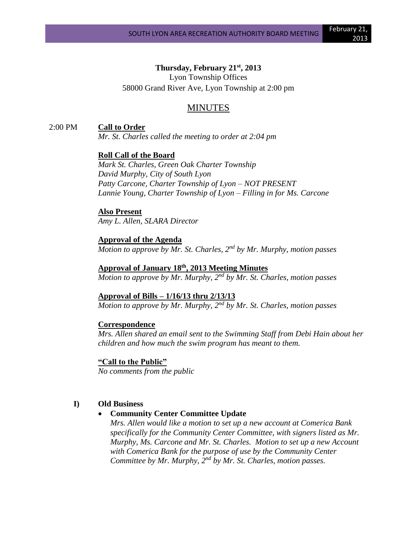## **Thursday, February 21st, 2013**

Lyon Township Offices 58000 Grand River Ave, Lyon Township at 2:00 pm

# MINUTES

### 2:00 PM **Call to Order**

*Mr. St. Charles called the meeting to order at 2:04 pm*

### **Roll Call of the Board**

*Mark St. Charles, Green Oak Charter Township David Murphy, City of South Lyon Patty Carcone, Charter Township of Lyon – NOT PRESENT Lannie Young, Charter Township of Lyon – Filling in for Ms. Carcone*

#### **Also Present**

*Amy L. Allen, SLARA Director*

### **Approval of the Agenda**

*Motion to approve by Mr. St. Charles, 2nd by Mr. Murphy, motion passes*

## **Approval of January 18th, 2013 Meeting Minutes**

*Motion to approve by Mr. Murphy, 2nd by Mr. St. Charles, motion passes*

#### **Approval of Bills – 1/16/13 thru 2/13/13**

*Motion to approve by Mr. Murphy, 2nd by Mr. St. Charles, motion passes*

#### **Correspondence**

*Mrs. Allen shared an email sent to the Swimming Staff from Debi Hain about her children and how much the swim program has meant to them.*

#### **"Call to the Public"**

*No comments from the public*

### **I) Old Business**

### • **Community Center Committee Update**

*Mrs. Allen would like a motion to set up a new account at Comerica Bank specifically for the Community Center Committee, with signers listed as Mr. Murphy, Ms. Carcone and Mr. St. Charles. Motion to set up a new Account with Comerica Bank for the purpose of use by the Community Center Committee by Mr. Murphy, 2nd by Mr. St. Charles, motion passes.*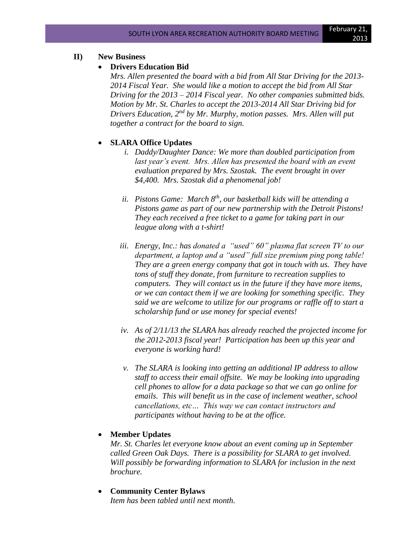## **II) New Business**

### • **Drivers Education Bid**

*Mrs. Allen presented the board with a bid from All Star Driving for the 2013- 2014 Fiscal Year. She would like a motion to accept the bid from All Star Driving for the 2013 – 2014 Fiscal year. No other companies submitted bids. Motion by Mr. St. Charles to accept the 2013-2014 All Star Driving bid for Drivers Education, 2nd by Mr. Murphy, motion passes. Mrs. Allen will put together a contract for the board to sign.*

# • **SLARA Office Updates**

- *i. Daddy/Daughter Dance: We more than doubled participation from*  last year's event. Mrs. Allen has presented the board with an event *evaluation prepared by Mrs. Szostak. The event brought in over \$4,400. Mrs. Szostak did a phenomenal job!*
- *ii. Pistons Game: March 8th, our basketball kids will be attending a Pistons game as part of our new partnership with the Detroit Pistons! They each received a free ticket to a game for taking part in our league along with a t-shirt!*
- *iii. Energy, Inc.: has donated a "used" 60" plasma flat screen TV to our department, a laptop and a "used" full size premium ping pong table! They are a green energy company that got in touch with us. They have tons of stuff they donate, from furniture to recreation supplies to computers. They will contact us in the future if they have more items, or we can contact them if we are looking for something specific. They said we are welcome to utilize for our programs or raffle off to start a scholarship fund or use money for special events!*
- *iv. As of 2/11/13 the SLARA has already reached the projected income for the 2012-2013 fiscal year! Participation has been up this year and everyone is working hard!*
- *v. The SLARA is looking into getting an additional IP address to allow staff to access their email offsite. We may be looking into upgrading cell phones to allow for a data package so that we can go online for emails. This will benefit us in the case of inclement weather, school cancellations, etc… This way we can contact instructors and participants without having to be at the office.*

# • **Member Updates**

*Mr. St. Charles let everyone know about an event coming up in September called Green Oak Days. There is a possibility for SLARA to get involved. Will possibly be forwarding information to SLARA for inclusion in the next brochure.*

• **Community Center Bylaws** *Item has been tabled until next month.*